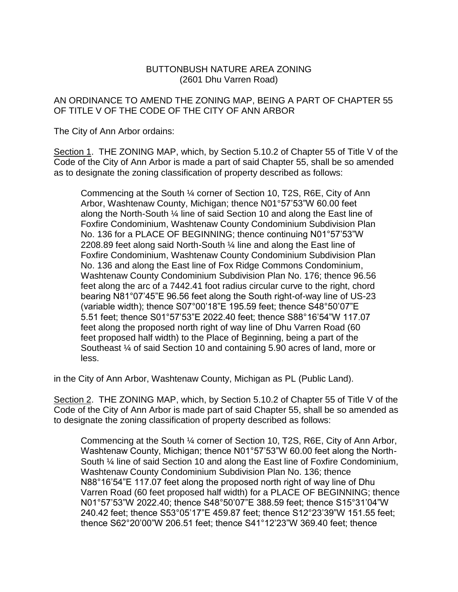## BUTTONBUSH NATURE AREA ZONING (2601 Dhu Varren Road)

## AN ORDINANCE TO AMEND THE ZONING MAP, BEING A PART OF CHAPTER 55 OF TITLE V OF THE CODE OF THE CITY OF ANN ARBOR

The City of Ann Arbor ordains:

Section 1. THE ZONING MAP, which, by Section 5.10.2 of Chapter 55 of Title V of the Code of the City of Ann Arbor is made a part of said Chapter 55, shall be so amended as to designate the zoning classification of property described as follows:

Commencing at the South ¼ corner of Section 10, T2S, R6E, City of Ann Arbor, Washtenaw County, Michigan; thence N01°57'53"W 60.00 feet along the North-South ¼ line of said Section 10 and along the East line of Foxfire Condominium, Washtenaw County Condominium Subdivision Plan No. 136 for a PLACE OF BEGINNING; thence continuing N01°57'53"W 2208.89 feet along said North-South ¼ line and along the East line of Foxfire Condominium, Washtenaw County Condominium Subdivision Plan No. 136 and along the East line of Fox Ridge Commons Condominium, Washtenaw County Condominium Subdivision Plan No. 176; thence 96.56 feet along the arc of a 7442.41 foot radius circular curve to the right, chord bearing N81°07'45"E 96.56 feet along the South right-of-way line of US-23 (variable width); thence S07°00'18"E 195.59 feet; thence S48°50'07"E 5.51 feet; thence S01°57'53"E 2022.40 feet; thence S88°16'54"W 117.07 feet along the proposed north right of way line of Dhu Varren Road (60 feet proposed half width) to the Place of Beginning, being a part of the Southeast ¼ of said Section 10 and containing 5.90 acres of land, more or less.

in the City of Ann Arbor, Washtenaw County, Michigan as PL (Public Land).

Section 2. THE ZONING MAP, which, by Section 5.10.2 of Chapter 55 of Title V of the Code of the City of Ann Arbor is made part of said Chapter 55, shall be so amended as to designate the zoning classification of property described as follows:

Commencing at the South ¼ corner of Section 10, T2S, R6E, City of Ann Arbor, Washtenaw County, Michigan; thence N01°57'53"W 60.00 feet along the North-South ¼ line of said Section 10 and along the East line of Foxfire Condominium, Washtenaw County Condominium Subdivision Plan No. 136; thence N88°16'54"E 117.07 feet along the proposed north right of way line of Dhu Varren Road (60 feet proposed half width) for a PLACE OF BEGINNING; thence N01°57'53"W 2022.40; thence S48°50'07"E 388.59 feet; thence S15°31'04"W 240.42 feet; thence S53°05'17"E 459.87 feet; thence S12°23'39"W 151.55 feet; thence S62°20'00"W 206.51 feet; thence S41°12'23"W 369.40 feet; thence